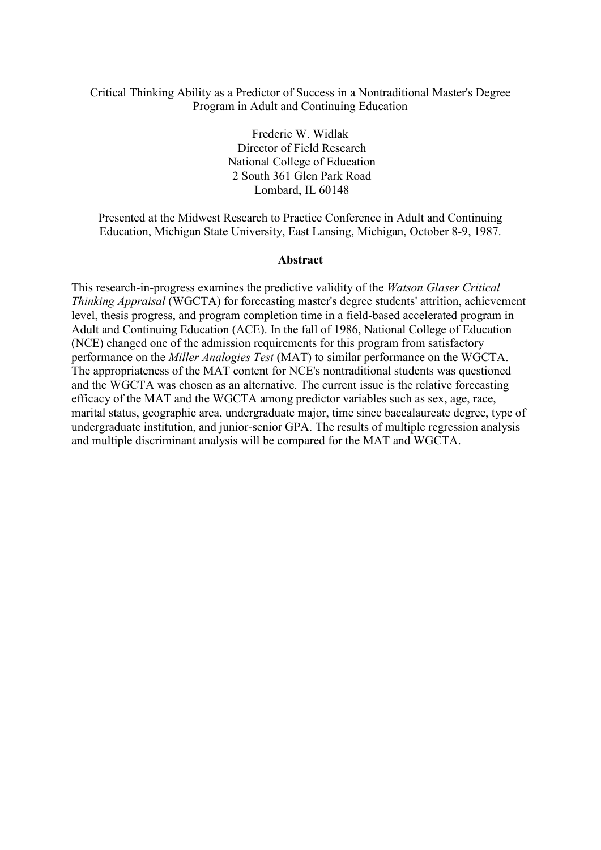### Critical Thinking Ability as a Predictor of Success in a Nontraditional Master's Degree Program in Adult and Continuing Education

Frederic W. Widlak Director of Field Research National College of Education 2 South 361 Glen Park Road Lombard, IL 60148

Presented at the Midwest Research to Practice Conference in Adult and Continuing Education, Michigan State University, East Lansing, Michigan, October 8-9, 1987.

#### **Abstract**

This research-in-progress examines the predictive validity of the *Watson Glaser Critical Thinking Appraisal* (WGCTA) for forecasting master's degree students' attrition, achievement level, thesis progress, and program completion time in a field-based accelerated program in Adult and Continuing Education (ACE). In the fall of 1986, National College of Education (NCE) changed one of the admission requirements for this program from satisfactory performance on the *Miller Analogies Test* (MAT) to similar performance on the WGCTA. The appropriateness of the MAT content for NCE's nontraditional students was questioned and the WGCTA was chosen as an alternative. The current issue is the relative forecasting efficacy of the MAT and the WGCTA among predictor variables such as sex, age, race, marital status, geographic area, undergraduate major, time since baccalaureate degree, type of undergraduate institution, and junior-senior GPA. The results of multiple regression analysis and multiple discriminant analysis will be compared for the MAT and WGCTA.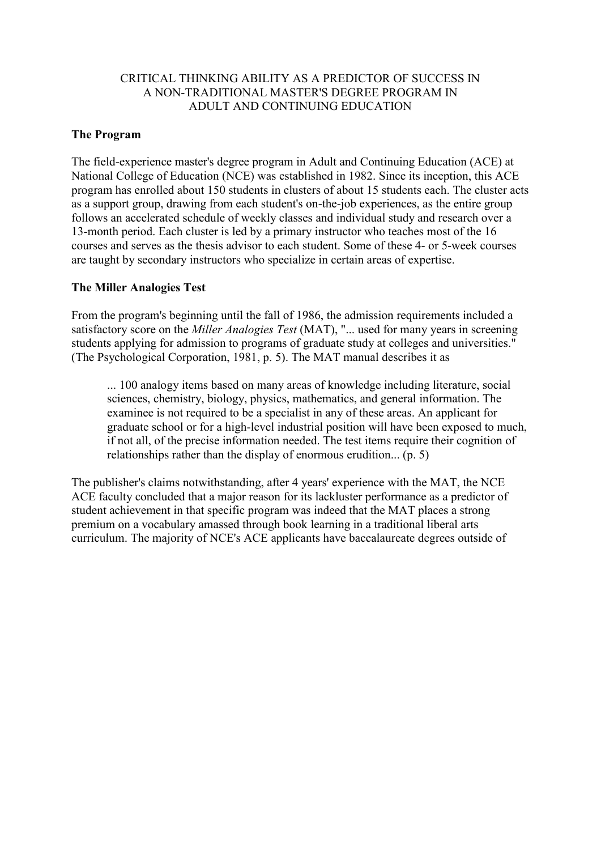# CRITICAL THINKING ABILITY AS A PREDICTOR OF SUCCESS IN A NON-TRADITIONAL MASTER'S DEGREE PROGRAM IN ADULT AND CONTINUING EDUCATION

### **The Program**

The field-experience master's degree program in Adult and Continuing Education (ACE) at National College of Education (NCE) was established in 1982. Since its inception, this ACE program has enrolled about 150 students in clusters of about 15 students each. The cluster acts as a support group, drawing from each student's on-the-job experiences, as the entire group follows an accelerated schedule of weekly classes and individual study and research over a 13-month period. Each cluster is led by a primary instructor who teaches most of the 16 courses and serves as the thesis advisor to each student. Some of these 4- or 5-week courses are taught by secondary instructors who specialize in certain areas of expertise.

### **The Miller Analogies Test**

From the program's beginning until the fall of 1986, the admission requirements included a satisfactory score on the *Miller Analogies Test* (MAT), "... used for many years in screening students applying for admission to programs of graduate study at colleges and universities." (The Psychological Corporation, 1981, p. 5). The MAT manual describes it as

... 100 analogy items based on many areas of knowledge including literature, social sciences, chemistry, biology, physics, mathematics, and general information. The examinee is not required to be a specialist in any of these areas. An applicant for graduate school or for a high-level industrial position will have been exposed to much, if not all, of the precise information needed. The test items require their cognition of relationships rather than the display of enormous erudition... (p. 5)

The publisher's claims notwithstanding, after 4 years' experience with the MAT, the NCE ACE faculty concluded that a major reason for its lackluster performance as a predictor of student achievement in that specific program was indeed that the MAT places a strong premium on a vocabulary amassed through book learning in a traditional liberal arts curriculum. The majority of NCE's ACE applicants have baccalaureate degrees outside of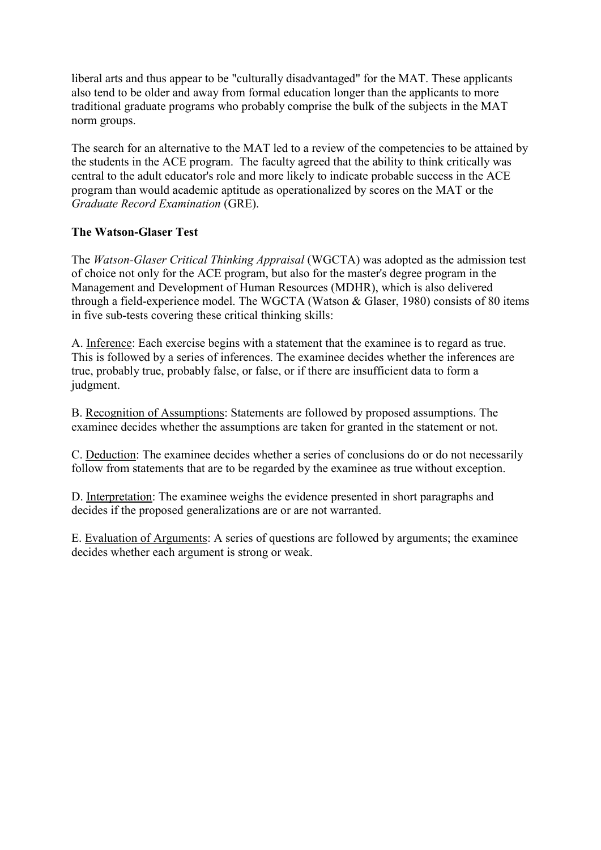liberal arts and thus appear to be "culturally disadvantaged" for the MAT. These applicants also tend to be older and away from formal education longer than the applicants to more traditional graduate programs who probably comprise the bulk of the subjects in the MAT norm groups.

The search for an alternative to the MAT led to a review of the competencies to be attained by the students in the ACE program. The faculty agreed that the ability to think critically was central to the adult educator's role and more likely to indicate probable success in the ACE program than would academic aptitude as operationalized by scores on the MAT or the *Graduate Record Examination* (GRE).

# **The Watson-Glaser Test**

The *Watson-Glaser Critical Thinking Appraisal* (WGCTA) was adopted as the admission test of choice not only for the ACE program, but also for the master's degree program in the Management and Development of Human Resources (MDHR), which is also delivered through a field-experience model. The WGCTA (Watson & Glaser, 1980) consists of 80 items in five sub-tests covering these critical thinking skills:

A. Inference: Each exercise begins with a statement that the examinee is to regard as true. This is followed by a series of inferences. The examinee decides whether the inferences are true, probably true, probably false, or false, or if there are insufficient data to form a judgment.

B. Recognition of Assumptions: Statements are followed by proposed assumptions. The examinee decides whether the assumptions are taken for granted in the statement or not.

C. Deduction: The examinee decides whether a series of conclusions do or do not necessarily follow from statements that are to be regarded by the examinee as true without exception.

D. Interpretation: The examinee weighs the evidence presented in short paragraphs and decides if the proposed generalizations are or are not warranted.

E. Evaluation of Arguments: A series of questions are followed by arguments; the examinee decides whether each argument is strong or weak.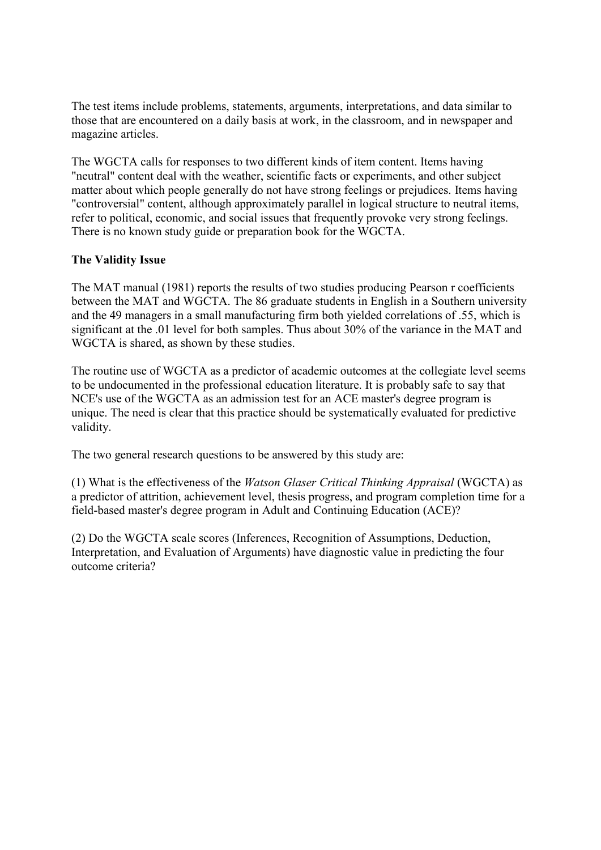The test items include problems, statements, arguments, interpretations, and data similar to those that are encountered on a daily basis at work, in the classroom, and in newspaper and magazine articles.

The WGCTA calls for responses to two different kinds of item content. Items having "neutral" content deal with the weather, scientific facts or experiments, and other subject matter about which people generally do not have strong feelings or prejudices. Items having "controversial" content, although approximately parallel in logical structure to neutral items, refer to political, economic, and social issues that frequently provoke very strong feelings. There is no known study guide or preparation book for the WGCTA.

# **The Validity Issue**

The MAT manual (1981) reports the results of two studies producing Pearson r coefficients between the MAT and WGCTA. The 86 graduate students in English in a Southern university and the 49 managers in a small manufacturing firm both yielded correlations of .55, which is significant at the .01 level for both samples. Thus about 30% of the variance in the MAT and WGCTA is shared, as shown by these studies.

The routine use of WGCTA as a predictor of academic outcomes at the collegiate level seems to be undocumented in the professional education literature. It is probably safe to say that NCE's use of the WGCTA as an admission test for an ACE master's degree program is unique. The need is clear that this practice should be systematically evaluated for predictive validity.

The two general research questions to be answered by this study are:

(1) What is the effectiveness of the *Watson Glaser Critical Thinking Appraisal* (WGCTA) as a predictor of attrition, achievement level, thesis progress, and program completion time for a field-based master's degree program in Adult and Continuing Education (ACE)?

(2) Do the WGCTA scale scores (Inferences, Recognition of Assumptions, Deduction, Interpretation, and Evaluation of Arguments) have diagnostic value in predicting the four outcome criteria?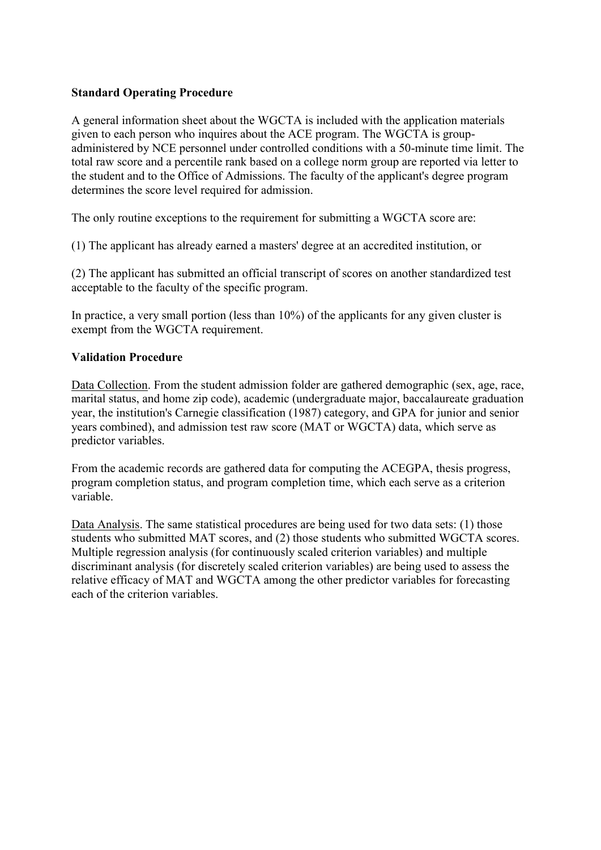# **Standard Operating Procedure**

A general information sheet about the WGCTA is included with the application materials given to each person who inquires about the ACE program. The WGCTA is groupadministered by NCE personnel under controlled conditions with a 50-minute time limit. The total raw score and a percentile rank based on a college norm group are reported via letter to the student and to the Office of Admissions. The faculty of the applicant's degree program determines the score level required for admission.

The only routine exceptions to the requirement for submitting a WGCTA score are:

(1) The applicant has already earned a masters' degree at an accredited institution, or

(2) The applicant has submitted an official transcript of scores on another standardized test acceptable to the faculty of the specific program.

In practice, a very small portion (less than 10%) of the applicants for any given cluster is exempt from the WGCTA requirement.

### **Validation Procedure**

Data Collection. From the student admission folder are gathered demographic (sex, age, race, marital status, and home zip code), academic (undergraduate major, baccalaureate graduation year, the institution's Carnegie classification (1987) category, and GPA for junior and senior years combined), and admission test raw score (MAT or WGCTA) data, which serve as predictor variables.

From the academic records are gathered data for computing the ACEGPA, thesis progress, program completion status, and program completion time, which each serve as a criterion variable.

Data Analysis. The same statistical procedures are being used for two data sets: (1) those students who submitted MAT scores, and (2) those students who submitted WGCTA scores. Multiple regression analysis (for continuously scaled criterion variables) and multiple discriminant analysis (for discretely scaled criterion variables) are being used to assess the relative efficacy of MAT and WGCTA among the other predictor variables for forecasting each of the criterion variables.